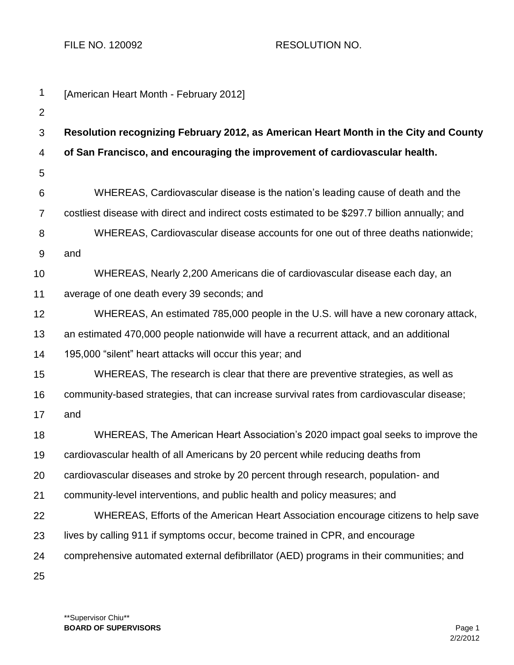FILE NO. 120092 RESOLUTION NO.

| 1              | [American Heart Month - February 2012]                                                         |
|----------------|------------------------------------------------------------------------------------------------|
| $\overline{2}$ |                                                                                                |
| 3              | Resolution recognizing February 2012, as American Heart Month in the City and County           |
| 4              | of San Francisco, and encouraging the improvement of cardiovascular health.                    |
| 5              |                                                                                                |
| 6              | WHEREAS, Cardiovascular disease is the nation's leading cause of death and the                 |
| $\overline{7}$ | costliest disease with direct and indirect costs estimated to be \$297.7 billion annually; and |
| 8              | WHEREAS, Cardiovascular disease accounts for one out of three deaths nationwide;               |
| 9              | and                                                                                            |
| 10             | WHEREAS, Nearly 2,200 Americans die of cardiovascular disease each day, an                     |
| 11             | average of one death every 39 seconds; and                                                     |
| 12             | WHEREAS, An estimated 785,000 people in the U.S. will have a new coronary attack,              |
| 13             | an estimated 470,000 people nationwide will have a recurrent attack, and an additional         |
| 14             | 195,000 "silent" heart attacks will occur this year; and                                       |
| 15             | WHEREAS, The research is clear that there are preventive strategies, as well as                |
| 16             | community-based strategies, that can increase survival rates from cardiovascular disease;      |
| 17             | and                                                                                            |
| 18             | WHEREAS, The American Heart Association's 2020 impact goal seeks to improve the                |
| 19             | cardiovascular health of all Americans by 20 percent while reducing deaths from                |
| 20             | cardiovascular diseases and stroke by 20 percent through research, population- and             |
| 21             | community-level interventions, and public health and policy measures; and                      |
| 22             | WHEREAS, Efforts of the American Heart Association encourage citizens to help save             |
| 23             | lives by calling 911 if symptoms occur, become trained in CPR, and encourage                   |
| 24             | comprehensive automated external defibrillator (AED) programs in their communities; and        |
| 25             |                                                                                                |